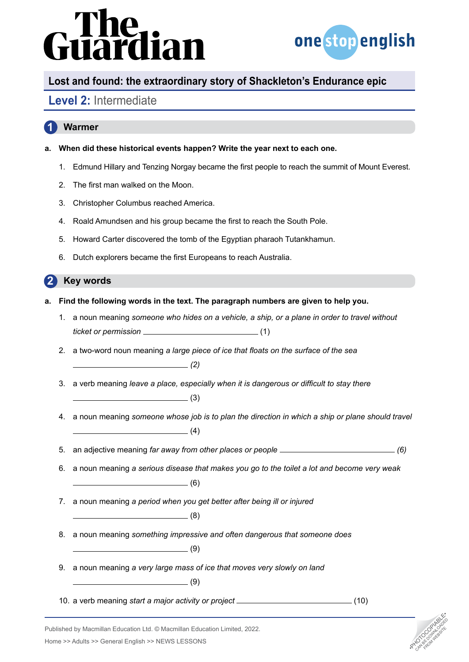# dian



## **Lost and found: the extraordinary story of Shackleton's Endurance epic**

### **Level 2:** Intermediate

### **1 Warmer**

- **a. When did these historical events happen? Write the year next to each one.**
	- 1. Edmund Hillary and Tenzing Norgay became the first people to reach the summit of Mount Everest.
	- 2. The first man walked on the Moon.
	- 3. Christopher Columbus reached America.
	- 4. Roald Amundsen and his group became the first to reach the South Pole.
	- 5. Howard Carter discovered the tomb of the Egyptian pharaoh Tutankhamun.
	- 6. Dutch explorers became the first Europeans to reach Australia.

#### **2 Key words**

- **a. Find the following words in the text. The paragraph numbers are given to help you.** 
	- 1. a noun meaning *someone who hides on a vehicle, a ship, or a plane in order to travel without ticket or permission* (1)
	- 2. a two-word noun meaning *a large piece of ice that floats on the surface of the sea (2)*
	- 3. a verb meaning *leave a place, especially when it is dangerous or difficult to stay there*

 $\sim$  (3)

- 4. a noun meaning *someone whose job is to plan the direction in which a ship or plane should travel*   $\sim$  (4)
- 5. an adjective meaning *far away from other places or people (6)*
- 6. a noun meaning *a serious disease that makes you go to the toilet a lot and become very weak*   $\overline{\hspace{1.5cm}}$  (6)
- 7. a noun meaning *a period when you get better after being ill or injured*   $\overline{\hspace{2cm}}$  (8)
- 8. a noun meaning *something impressive and often dangerous that someone does*

 $\overline{\phantom{a}}$ (9)

- 9. a noun meaning *a very large mass of ice that moves very slowly on land*   $\overline{\hspace{1cm}}$  (9)
- 10. a verb meaning *start a major activity or project* \_\_\_\_\_\_\_\_\_\_\_\_\_\_\_\_\_\_\_\_\_\_\_\_\_\_\_(10)



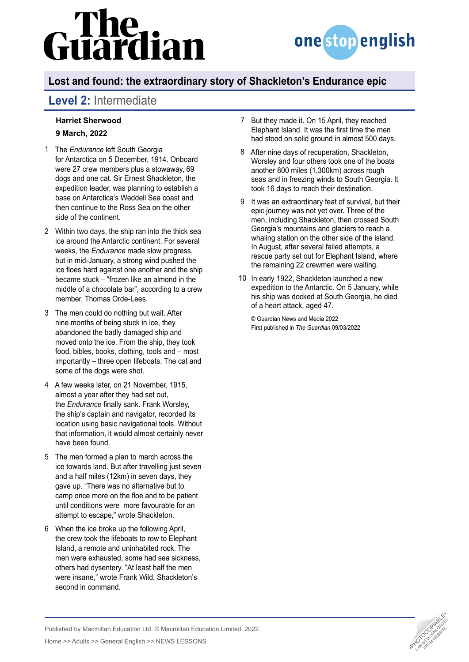# dian



# **Lost and found: the extraordinary story of Shackleton's Endurance epic**

## **Level 2:** Intermediate

#### **[Harriet Sherwood](https://www.theguardian.com/profile/harrietsherwood) 9 March, 2022**

- The *Endurance* left South Georgia 1 for [Antarctica](https://www.theguardian.com/world/antarctica) on 5 December, 1914. Onboard were 27 crew members plus a stowaway, 69 dogs and one cat. Sir Ernest Shackleton, the expedition leader, was planning to establish a base on Antarctica's Weddell Sea coast and then continue to the Ross Sea on the other side of the continent.
- Within two days, the ship ran into the thick sea 2 ice around the Antarctic continent. For several weeks, the *[Endurance](https://www.theguardian.com/uk-news/gallery/2022/mar/09/sir-ernest-shackletons-ship-endurance-found-in-pictures)* made slow progress, but in mid-January, a strong wind pushed the ice floes hard against one another and the ship became stuck – "frozen like an almond in the middle of a chocolate bar", according to a crew member, Thomas Orde-Lees.
- The men could do nothing but wait. After 3 nine months of being stuck in ice, they abandoned the badly damaged ship and moved onto the ice. From the ship, they took food, bibles, books, clothing, tools and – most importantly – three open lifeboats. The cat and some of the dogs were shot.
- A few weeks later, on 21 November, 1915, 4 almost a year after they had set out, the *Endurance* [finally sank.](https://www.theguardian.com/world/2022/mar/09/ernest-shackleton-wrecked-ship-endurance-antarctic) Frank Worsley, the ship's captain and navigator, recorded its location using basic navigational tools. Without that information, it would almost certainly never have been found.
- The men formed a plan to march across the 5 ice towards land. But after travelling just seven and a half miles (12km) in seven days, they gave up. "There was no alternative but to camp once more on the floe and to be patient until conditions were more favourable for an attempt to escape," wrote Shackleton.
- When the ice broke up the following April, 6 the crew took the lifeboats to row to Elephant Island, a remote and uninhabited rock. The men were exhausted, some had sea sickness, others had dysentery. "At least half the men were insane," wrote Frank Wild, Shackleton's second in command.
- 7 But they made it. On 15 April, they reached Elephant Island. It was the first time the men had stood on solid ground in almost 500 days.
- After nine days of recuperation, Shackleton, 8 Worsley and four others took one of the boats another 800 miles (1,300km) across rough seas and in freezing winds to South Georgia. It took 16 days to reach their destination.
- 9 It was an extraordinary feat of survival, but their epic journey was not yet over. Three of the men, including Shackleton, then crossed South Georgia's mountains and glaciers to reach a whaling station on the other side of the island. In August, after several failed attempts, a rescue party set out for Elephant Island, where the remaining 22 crewmen were waiting.
- In early 1922, Shackleton launched a new 10expedition to the Antarctic. On 5 January, while his ship was docked at South Georgia, he [died](https://www.theguardian.com/world/2022/jan/28/ernest-shackleton-dies-at-sea-archive-1922)  [of a heart attack](https://www.theguardian.com/world/2022/jan/28/ernest-shackleton-dies-at-sea-archive-1922), aged 47.

© Guardian News and Media 2022 First published in *The Guardian* 09/03/2022



Published by Macmillan Education Ltd. © Macmillan Education Limited, 2022.

Home >> Adults >> General English >> NEWS LESSONS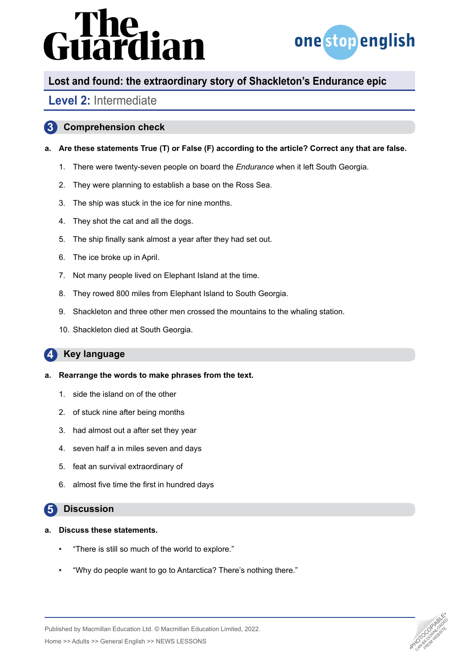# irdian



# **Lost and found: the extraordinary story of Shackleton's Endurance epic**

### **Level 2:** Intermediate

#### **3 Comprehension check**

#### **a. Are these statements True (T) or False (F) according to the article? Correct any that are false.**

- 1. There were twenty-seven people on board the *Endurance* when it left South Georgia.
- 2. They were planning to establish a base on the Ross Sea.
- 3. The ship was stuck in the ice for nine months.
- 4. They shot the cat and all the dogs.
- 5. The ship finally sank almost a year after they had set out.
- 6. The ice broke up in April.
- 7. Not many people lived on Elephant Island at the time.
- 8. They rowed 800 miles from Elephant Island to South Georgia.
- 9. Shackleton and three other men crossed the mountains to the whaling station.
- 10. Shackleton died at South Georgia.

#### **4 Key language**

#### **a. Rearrange the words to make phrases from the text.**

- 1. side the island on of the other
- 2. of stuck nine after being months
- 3. had almost out a after set they year
- 4. seven half a in miles seven and days
- 5. feat an survival extraordinary of
- 6. almost five time the first in hundred days

#### **5 Discussion**

- **a. Discuss these statements.**
	- "There is still so much of the world to explore."
	- "Why do people want to go to Antarctica? There's nothing there."



Published by Macmillan Education Ltd. © Macmillan Education Limited, 2022.

Home >> Adults >> General English >> NEWS LESSONS